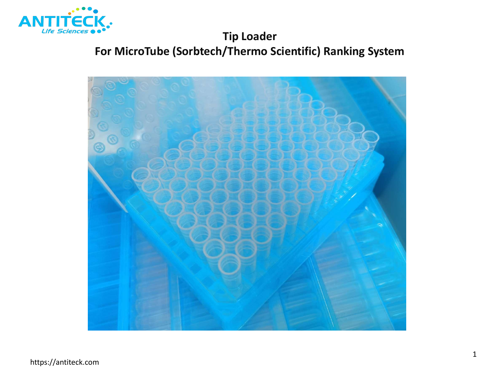

# **Tip Loader For MicroTube (Sorbtech/Thermo Scientific) Ranking System**

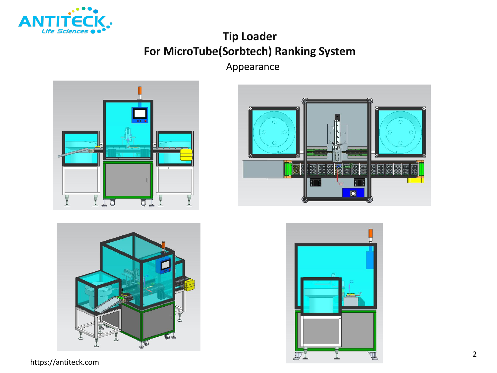

# **Tip Loader For MicroTube(Sorbtech) Ranking System**

Appearance









https://antiteck.com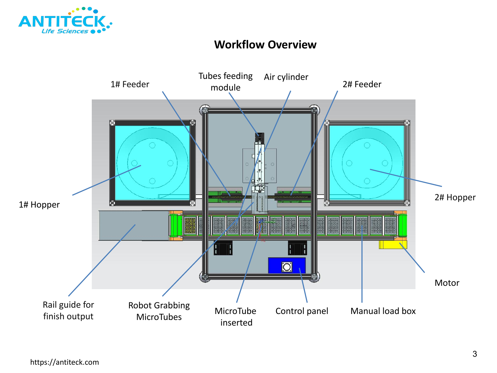

### **Workflow Overview**

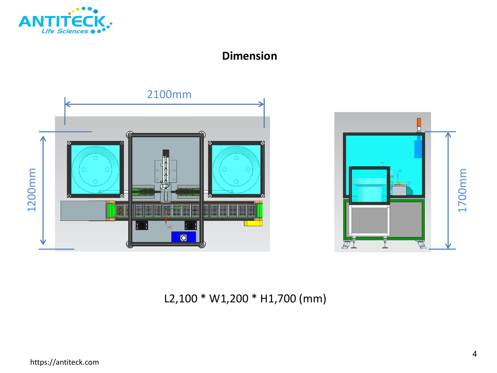

## **Dimension**





L2,100 \* W1,200 \* H1,700 (mm)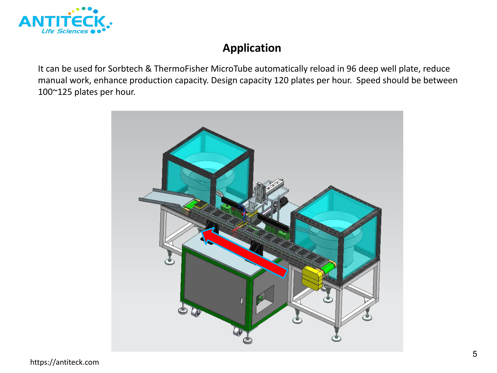

It can be used for Sorbtech & ThermoFisher MicroTube automatically reload in 96 deep well plate, reduce manual work, enhance production capacity. Design capacity 120 plates per hour. Speed should be between **Application**<br>11 can be used for Sorbtech & ThermoFisher MicroTube automatically reload in 96 deep well plates manual work, enhance production capacity. Design capacity 120 plates per hour. Speed should<br>100~125 plates per

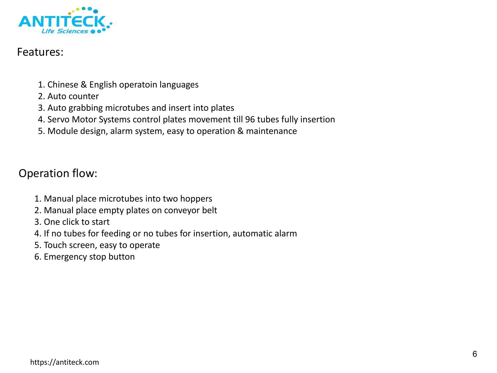

### Features:

- 1. Chinese & English operatoin languages
- 2. Auto counter
- 3. Auto grabbing microtubes and insert into plates
- 4. Servo Motor Systems control plates movement till 96 tubes fully insertion
- 5. Module design, alarm system, easy to operation & maintenance

### Operation flow:

- 1. Manual place microtubes into two hoppers
- 2. Manual place empty plates on conveyor belt
- 3. One click to start
- 4. If no tubes for feeding or no tubes for insertion, automatic alarm
- 5. Touch screen, easy to operate
- 6. Emergency stop button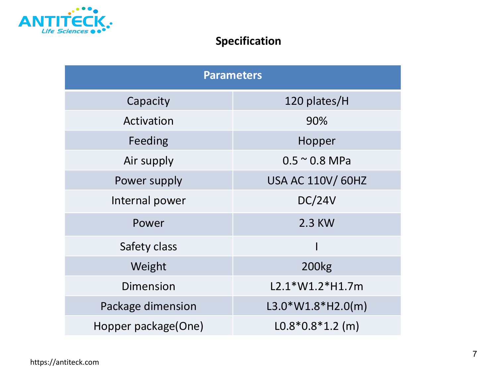

# **Specification**

| <b>Parameters</b>   |                          |
|---------------------|--------------------------|
| Capacity            | 120 plates/H             |
| Activation          | 90%                      |
| Feeding             | Hopper                   |
| Air supply          | $0.5 \sim 0.8$ MPa       |
| Power supply        | <b>USA AC 110V/ 60HZ</b> |
| Internal power      | <b>DC/24V</b>            |
| Power               | 2.3 KW                   |
| Safety class        |                          |
| Weight              | <b>200kg</b>             |
| <b>Dimension</b>    | L2.1*W1.2*H1.7m          |
| Package dimension   | $L3.0*W1.8*H2.0(m)$      |
| Hopper package(One) | $L0.8*0.8*1.2$ (m)       |